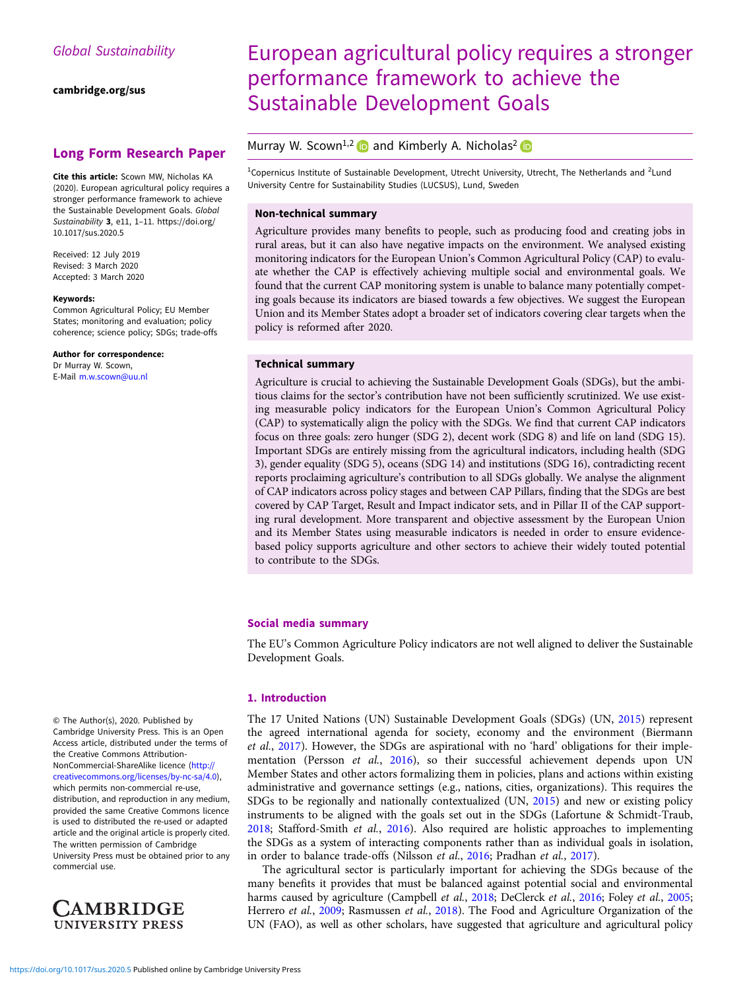[cambridge.org/sus](https://www.cambridge.org/sus)

# Long Form Research Paper

Cite this article: Scown MW, Nicholas KA (2020). European agricultural policy requires a stronger performance framework to achieve the Sustainable Development Goals. Global Sustainability 3, e11, 1–11. [https://doi.org/](https://doi.org/10.1017/sus.2020.5) [10.1017/sus.2020.5](https://doi.org/10.1017/sus.2020.5)

Received: 12 July 2019 Revised: 3 March 2020 Accepted: 3 March 2020

#### Keywords:

Common Agricultural Policy; EU Member States; monitoring and evaluation; policy coherence; science policy; SDGs; trade-offs

Author for correspondence:

Dr Murray W. Scown, E-Mail [m.w.scown@uu.nl](mailto:m.w.scown@uu.nl) European agricultural policy requires a stronger performance framework to achieve the Sustainable Development Goals

# Murray W. Scown<sup>1,2</sup> and Kimberly A. Nicholas<sup>2</sup>

<sup>1</sup>Copernicus Institute of Sustainable Development, Utrecht University, Utrecht, The Netherlands and <sup>2</sup>Lund University Centre for Sustainability Studies (LUCSUS), Lund, Sweden

### Non-technical summary

Agriculture provides many benefits to people, such as producing food and creating jobs in rural areas, but it can also have negative impacts on the environment. We analysed existing monitoring indicators for the European Union's Common Agricultural Policy (CAP) to evaluate whether the CAP is effectively achieving multiple social and environmental goals. We found that the current CAP monitoring system is unable to balance many potentially competing goals because its indicators are biased towards a few objectives. We suggest the European Union and its Member States adopt a broader set of indicators covering clear targets when the policy is reformed after 2020.

#### Technical summary

Agriculture is crucial to achieving the Sustainable Development Goals (SDGs), but the ambitious claims for the sector's contribution have not been sufficiently scrutinized. We use existing measurable policy indicators for the European Union's Common Agricultural Policy (CAP) to systematically align the policy with the SDGs. We find that current CAP indicators focus on three goals: zero hunger (SDG 2), decent work (SDG 8) and life on land (SDG 15). Important SDGs are entirely missing from the agricultural indicators, including health (SDG 3), gender equality (SDG 5), oceans (SDG 14) and institutions (SDG 16), contradicting recent reports proclaiming agriculture's contribution to all SDGs globally. We analyse the alignment of CAP indicators across policy stages and between CAP Pillars, finding that the SDGs are best covered by CAP Target, Result and Impact indicator sets, and in Pillar II of the CAP supporting rural development. More transparent and objective assessment by the European Union and its Member States using measurable indicators is needed in order to ensure evidencebased policy supports agriculture and other sectors to achieve their widely touted potential to contribute to the SDGs.

## Social media summary

The EU's Common Agriculture Policy indicators are not well aligned to deliver the Sustainable Development Goals.

### 1. Introduction

The 17 United Nations (UN) Sustainable Development Goals (SDGs) (UN, [2015\)](#page-10-0) represent the agreed international agenda for society, economy and the environment (Biermann et al., [2017](#page-9-0)). However, the SDGs are aspirational with no 'hard' obligations for their imple-mentation (Persson et al., [2016\)](#page-10-0), so their successful achievement depends upon UN Member States and other actors formalizing them in policies, plans and actions within existing administrative and governance settings (e.g., nations, cities, organizations). This requires the SDGs to be regionally and nationally contextualized (UN, [2015](#page-10-0)) and new or existing policy instruments to be aligned with the goals set out in the SDGs (Lafortune & Schmidt-Traub, [2018;](#page-9-0) Stafford-Smith et al., [2016\)](#page-10-0). Also required are holistic approaches to implementing the SDGs as a system of interacting components rather than as individual goals in isolation, in order to balance trade-offs (Nilsson et al., [2016;](#page-10-0) Pradhan et al., [2017\)](#page-10-0).

The agricultural sector is particularly important for achieving the SDGs because of the many benefits it provides that must be balanced against potential social and environmental harms caused by agriculture (Campbell et al., [2018](#page-9-0); DeClerck et al., [2016;](#page-9-0) Foley et al., [2005](#page-9-0); Herrero et al., [2009;](#page-9-0) Rasmussen et al., [2018](#page-10-0)). The Food and Agriculture Organization of the UN (FAO), as well as other scholars, have suggested that agriculture and agricultural policy

© The Author(s), 2020. Published by Cambridge University Press. This is an Open Access article, distributed under the terms of the Creative Commons Attribution-NonCommercial-ShareAlike licence [\(http://](http://creativecommons.org/licenses/by) [creativecommons.org/licenses/by-nc-sa/4.0\)](http://creativecommons.org/licenses/by), which permits non-commercial re-use, distribution, and reproduction in any medium, provided the same Creative Commons licence is used to distributed the re-used or adapted article and the original article is properly cited. The written permission of Cambridge University Press must be obtained prior to any commercial use.

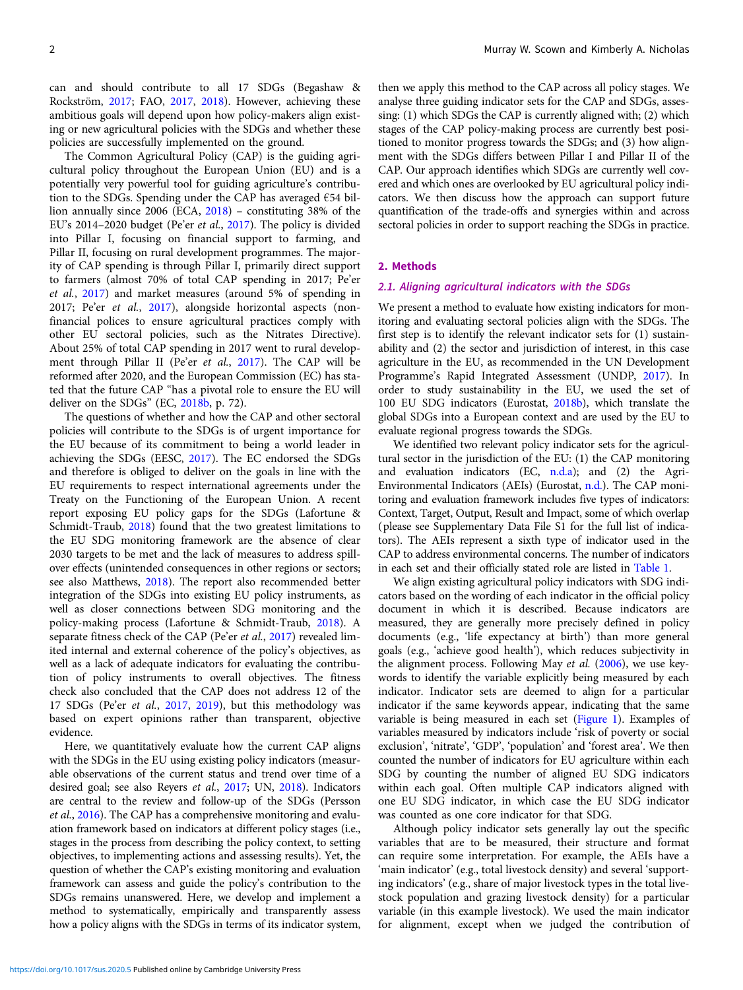can and should contribute to all 17 SDGs (Begashaw & Rockström, [2017;](#page-9-0) FAO, [2017,](#page-9-0) [2018\)](#page-9-0). However, achieving these ambitious goals will depend upon how policy-makers align existing or new agricultural policies with the SDGs and whether these policies are successfully implemented on the ground.

The Common Agricultural Policy (CAP) is the guiding agricultural policy throughout the European Union (EU) and is a potentially very powerful tool for guiding agriculture's contribution to the SDGs. Spending under the CAP has averaged  $€54$  billion annually since 2006 (ECA, [2018\)](#page-9-0) – constituting 38% of the EU's 2014–2020 budget (Pe'er et al., [2017](#page-10-0)). The policy is divided into Pillar I, focusing on financial support to farming, and Pillar II, focusing on rural development programmes. The majority of CAP spending is through Pillar I, primarily direct support to farmers (almost 70% of total CAP spending in 2017; Pe'er et al., [2017](#page-10-0)) and market measures (around 5% of spending in 2017; Pe'er et al., [2017](#page-10-0)), alongside horizontal aspects (nonfinancial polices to ensure agricultural practices comply with other EU sectoral policies, such as the Nitrates Directive). About 25% of total CAP spending in 2017 went to rural development through Pillar II (Pe'er et al., [2017\)](#page-10-0). The CAP will be reformed after 2020, and the European Commission (EC) has stated that the future CAP "has a pivotal role to ensure the EU will deliver on the SDGs" (EC, [2018b,](#page-9-0) p. 72).

The questions of whether and how the CAP and other sectoral policies will contribute to the SDGs is of urgent importance for the EU because of its commitment to being a world leader in achieving the SDGs (EESC, [2017\)](#page-9-0). The EC endorsed the SDGs and therefore is obliged to deliver on the goals in line with the EU requirements to respect international agreements under the Treaty on the Functioning of the European Union. A recent report exposing EU policy gaps for the SDGs (Lafortune & Schmidt-Traub, [2018](#page-9-0)) found that the two greatest limitations to the EU SDG monitoring framework are the absence of clear 2030 targets to be met and the lack of measures to address spillover effects (unintended consequences in other regions or sectors; see also Matthews, [2018\)](#page-9-0). The report also recommended better integration of the SDGs into existing EU policy instruments, as well as closer connections between SDG monitoring and the policy-making process (Lafortune & Schmidt-Traub, [2018](#page-9-0)). A separate fitness check of the CAP (Pe'er et al., [2017\)](#page-10-0) revealed limited internal and external coherence of the policy's objectives, as well as a lack of adequate indicators for evaluating the contribution of policy instruments to overall objectives. The fitness check also concluded that the CAP does not address 12 of the 17 SDGs (Pe'er et al., [2017,](#page-10-0) [2019](#page-10-0)), but this methodology was based on expert opinions rather than transparent, objective evidence.

Here, we quantitatively evaluate how the current CAP aligns with the SDGs in the EU using existing policy indicators (measurable observations of the current status and trend over time of a desired goal; see also Reyers et al., [2017;](#page-10-0) UN, [2018\)](#page-10-0). Indicators are central to the review and follow-up of the SDGs (Persson et al., [2016\)](#page-10-0). The CAP has a comprehensive monitoring and evaluation framework based on indicators at different policy stages (i.e., stages in the process from describing the policy context, to setting objectives, to implementing actions and assessing results). Yet, the question of whether the CAP's existing monitoring and evaluation framework can assess and guide the policy's contribution to the SDGs remains unanswered. Here, we develop and implement a method to systematically, empirically and transparently assess how a policy aligns with the SDGs in terms of its indicator system,

then we apply this method to the CAP across all policy stages. We analyse three guiding indicator sets for the CAP and SDGs, assessing: (1) which SDGs the CAP is currently aligned with; (2) which stages of the CAP policy-making process are currently best positioned to monitor progress towards the SDGs; and (3) how alignment with the SDGs differs between Pillar I and Pillar II of the CAP. Our approach identifies which SDGs are currently well covered and which ones are overlooked by EU agricultural policy indicators. We then discuss how the approach can support future quantification of the trade-offs and synergies within and across sectoral policies in order to support reaching the SDGs in practice.

### 2. Methods

## 2.1. Aligning agricultural indicators with the SDGs

We present a method to evaluate how existing indicators for monitoring and evaluating sectoral policies align with the SDGs. The first step is to identify the relevant indicator sets for (1) sustainability and (2) the sector and jurisdiction of interest, in this case agriculture in the EU, as recommended in the UN Development Programme's Rapid Integrated Assessment (UNDP, [2017\)](#page-10-0). In order to study sustainability in the EU, we used the set of 100 EU SDG indicators (Eurostat, [2018b\)](#page-9-0), which translate the global SDGs into a European context and are used by the EU to evaluate regional progress towards the SDGs.

We identified two relevant policy indicator sets for the agricultural sector in the jurisdiction of the EU: (1) the CAP monitoring and evaluation indicators  $(EC, n.d.a)$  $(EC, n.d.a)$  $(EC, n.d.a)$ ; and  $(2)$  the Agri-Environmental Indicators (AEIs) (Eurostat, [n.d.\)](#page-9-0). The CAP monitoring and evaluation framework includes five types of indicators: Context, Target, Output, Result and Impact, some of which overlap (please see Supplementary Data File S1 for the full list of indicators). The AEIs represent a sixth type of indicator used in the CAP to address environmental concerns. The number of indicators in each set and their officially stated role are listed in [Table 1](#page-2-0).

We align existing agricultural policy indicators with SDG indicators based on the wording of each indicator in the official policy document in which it is described. Because indicators are measured, they are generally more precisely defined in policy documents (e.g., 'life expectancy at birth') than more general goals (e.g., 'achieve good health'), which reduces subjectivity in the alignment process. Following May et al. [\(2006\)](#page-9-0), we use keywords to identify the variable explicitly being measured by each indicator. Indicator sets are deemed to align for a particular indicator if the same keywords appear, indicating that the same variable is being measured in each set ([Figure 1](#page-2-0)). Examples of variables measured by indicators include 'risk of poverty or social exclusion', 'nitrate', 'GDP', 'population' and 'forest area'. We then counted the number of indicators for EU agriculture within each SDG by counting the number of aligned EU SDG indicators within each goal. Often multiple CAP indicators aligned with one EU SDG indicator, in which case the EU SDG indicator was counted as one core indicator for that SDG.

Although policy indicator sets generally lay out the specific variables that are to be measured, their structure and format can require some interpretation. For example, the AEIs have a 'main indicator' (e.g., total livestock density) and several 'supporting indicators' (e.g., share of major livestock types in the total livestock population and grazing livestock density) for a particular variable (in this example livestock). We used the main indicator for alignment, except when we judged the contribution of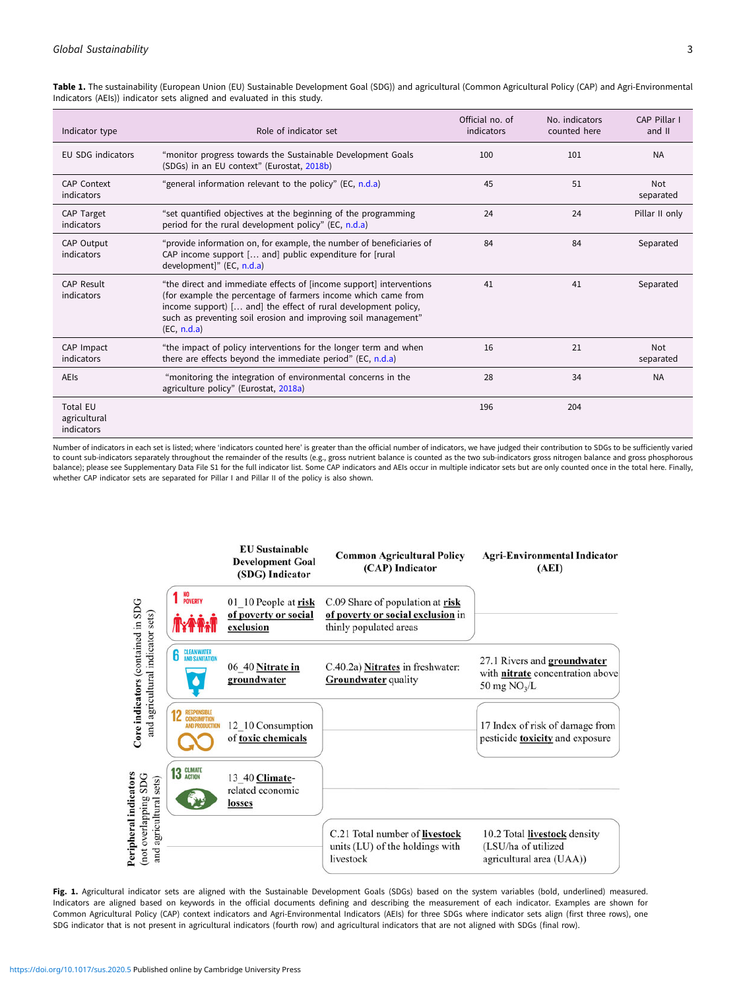Indicator type **Role of indicator set** Role of indicator set Official no. of indicators No. indicators counted here CAP Pillar I and II EU SDG indicators "monitor progress towards the Sustainable Development Goals (SDGs) in an EU context" (Eurostat, [2018b\)](#page-9-0) 100 101 NA CAP Context indicators "general information relevant to the policy" (EC, [n.d.a](#page-9-0)) 45 51 Not separated CAP Target indicators "set quantified objectives at the beginning of the programming period for the rural development policy" (EC, [n.d.a\)](#page-9-0) 24 24 Pillar II only CAP Output indicators "provide information on, for example, the number of beneficiaries of CAP income support [… and] public expenditure for [rural development]" (EC, [n.d.a\)](#page-9-0) 84 84 Separated CAP Result indicators "the direct and immediate effects of [income support] interventions (for example the percentage of farmers income which came from income support) [… and] the effect of rural development policy, such as preventing soil erosion and improving soil management" (EC, [n.d.a](#page-9-0)) 41 41 Separated CAP Impact indicators "the impact of policy interventions for the longer term and when there are effects beyond the immediate period" (EC, [n.d.a\)](#page-9-0) 16 21 Not separated AEIs **Example 20** "monitoring the integration of environmental concerns in the agriculture policy" (Eurostat, [2018a](#page-9-0)) 28 34 NA Total EU agricultural indicators 196 204

<span id="page-2-0"></span>Table 1. The sustainability (European Union (EU) Sustainable Development Goal (SDG)) and agricultural (Common Agricultural Policy (CAP) and Agri-Environmental Indicators (AEIs)) indicator sets aligned and evaluated in this study.

Number of indicators in each set is listed; where 'indicators counted here' is greater than the official number of indicators, we have judged their contribution to SDGs to be sufficiently varied to count sub-indicators separately throughout the remainder of the results (e.g., gross nutrient balance is counted as the two sub-indicators gross nitrogen balance and gross phosphorous balance); please see Supplementary Data File S1 for the full indicator list. Some CAP indicators and AEIs occur in multiple indicator sets but are only counted once in the total here. Finally, whether CAP indicator sets are separated for Pillar I and Pillar II of the policy is also shown.



Fig. 1. Agricultural indicator sets are aligned with the Sustainable Development Goals (SDGs) based on the system variables (bold, underlined) measured. Indicators are aligned based on keywords in the official documents defining and describing the measurement of each indicator. Examples are shown for Common Agricultural Policy (CAP) context indicators and Agri-Environmental Indicators (AEIs) for three SDGs where indicator sets align (first three rows), one SDG indicator that is not present in agricultural indicators (fourth row) and agricultural indicators that are not aligned with SDGs (final row).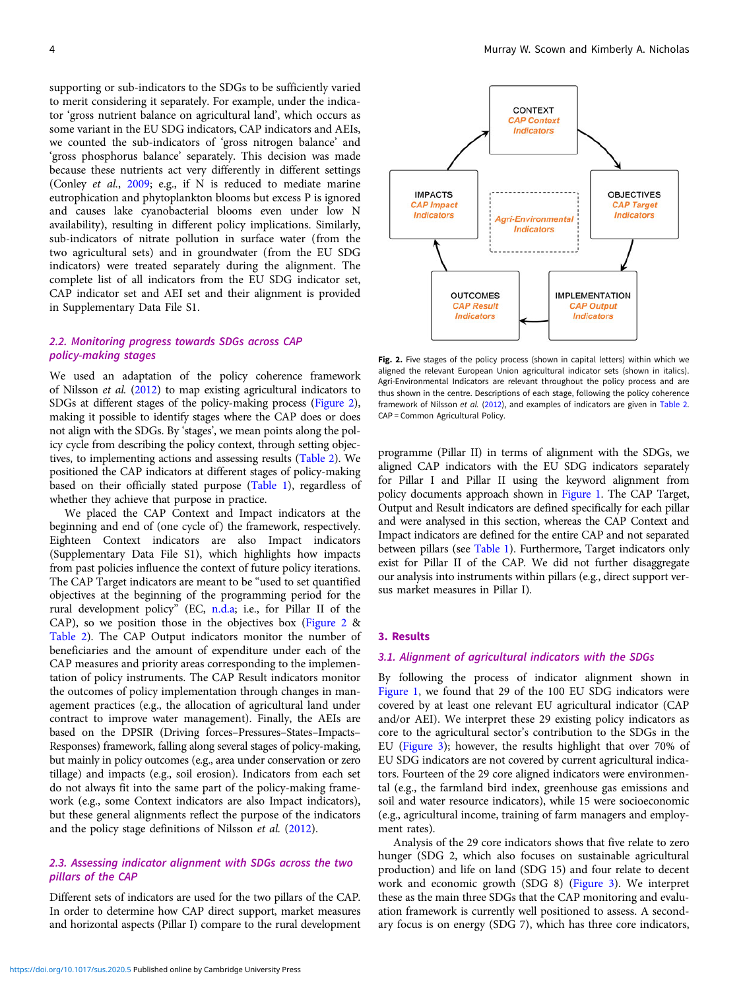<span id="page-3-0"></span>supporting or sub-indicators to the SDGs to be sufficiently varied to merit considering it separately. For example, under the indicator 'gross nutrient balance on agricultural land', which occurs as some variant in the EU SDG indicators, CAP indicators and AEIs, we counted the sub-indicators of 'gross nitrogen balance' and 'gross phosphorus balance' separately. This decision was made because these nutrients act very differently in different settings (Conley et al., [2009](#page-9-0); e.g., if N is reduced to mediate marine eutrophication and phytoplankton blooms but excess P is ignored and causes lake cyanobacterial blooms even under low N availability), resulting in different policy implications. Similarly, sub-indicators of nitrate pollution in surface water (from the two agricultural sets) and in groundwater (from the EU SDG indicators) were treated separately during the alignment. The complete list of all indicators from the EU SDG indicator set, CAP indicator set and AEI set and their alignment is provided in Supplementary Data File S1.

## 2.2. Monitoring progress towards SDGs across CAP policy-making stages

We used an adaptation of the policy coherence framework of Nilsson et al. [\(2012\)](#page-10-0) to map existing agricultural indicators to SDGs at different stages of the policy-making process (Figure 2), making it possible to identify stages where the CAP does or does not align with the SDGs. By 'stages', we mean points along the policy cycle from describing the policy context, through setting objectives, to implementing actions and assessing results [\(Table 2](#page-4-0)). We positioned the CAP indicators at different stages of policy-making based on their officially stated purpose [\(Table 1\)](#page-2-0), regardless of whether they achieve that purpose in practice.

We placed the CAP Context and Impact indicators at the beginning and end of (one cycle of) the framework, respectively. Eighteen Context indicators are also Impact indicators (Supplementary Data File S1), which highlights how impacts from past policies influence the context of future policy iterations. The CAP Target indicators are meant to be "used to set quantified objectives at the beginning of the programming period for the rural development policy" (EC, [n.d.a](#page-9-0); i.e., for Pillar II of the CAP), so we position those in the objectives box (Figure 2  $\&$ [Table 2\)](#page-4-0). The CAP Output indicators monitor the number of beneficiaries and the amount of expenditure under each of the CAP measures and priority areas corresponding to the implementation of policy instruments. The CAP Result indicators monitor the outcomes of policy implementation through changes in management practices (e.g., the allocation of agricultural land under contract to improve water management). Finally, the AEIs are based on the DPSIR (Driving forces–Pressures–States–Impacts– Responses) framework, falling along several stages of policy-making, but mainly in policy outcomes (e.g., area under conservation or zero tillage) and impacts (e.g., soil erosion). Indicators from each set do not always fit into the same part of the policy-making framework (e.g., some Context indicators are also Impact indicators), but these general alignments reflect the purpose of the indicators and the policy stage definitions of Nilsson et al. ([2012\)](#page-10-0).

## 2.3. Assessing indicator alignment with SDGs across the two pillars of the CAP

Different sets of indicators are used for the two pillars of the CAP. In order to determine how CAP direct support, market measures and horizontal aspects (Pillar I) compare to the rural development



Fig. 2. Five stages of the policy process (shown in capital letters) within which we aligned the relevant European Union agricultural indicator sets (shown in italics). Agri-Environmental Indicators are relevant throughout the policy process and are thus shown in the centre. Descriptions of each stage, following the policy coherence framework of Nilsson et al. ([2012](#page-10-0)), and examples of indicators are given in [Table 2](#page-4-0). CAP = Common Agricultural Policy.

programme (Pillar II) in terms of alignment with the SDGs, we aligned CAP indicators with the EU SDG indicators separately for Pillar I and Pillar II using the keyword alignment from policy documents approach shown in [Figure 1.](#page-2-0) The CAP Target, Output and Result indicators are defined specifically for each pillar and were analysed in this section, whereas the CAP Context and Impact indicators are defined for the entire CAP and not separated between pillars (see [Table 1](#page-2-0)). Furthermore, Target indicators only exist for Pillar II of the CAP. We did not further disaggregate our analysis into instruments within pillars (e.g., direct support versus market measures in Pillar I).

## 3. Results

#### 3.1. Alignment of agricultural indicators with the SDGs

By following the process of indicator alignment shown in [Figure 1,](#page-2-0) we found that 29 of the 100 EU SDG indicators were covered by at least one relevant EU agricultural indicator (CAP and/or AEI). We interpret these 29 existing policy indicators as core to the agricultural sector's contribution to the SDGs in the EU [\(Figure 3\)](#page-4-0); however, the results highlight that over 70% of EU SDG indicators are not covered by current agricultural indicators. Fourteen of the 29 core aligned indicators were environmental (e.g., the farmland bird index, greenhouse gas emissions and soil and water resource indicators), while 15 were socioeconomic (e.g., agricultural income, training of farm managers and employment rates).

Analysis of the 29 core indicators shows that five relate to zero hunger (SDG 2, which also focuses on sustainable agricultural production) and life on land (SDG 15) and four relate to decent work and economic growth (SDG 8) ([Figure 3\)](#page-4-0). We interpret these as the main three SDGs that the CAP monitoring and evaluation framework is currently well positioned to assess. A secondary focus is on energy (SDG 7), which has three core indicators,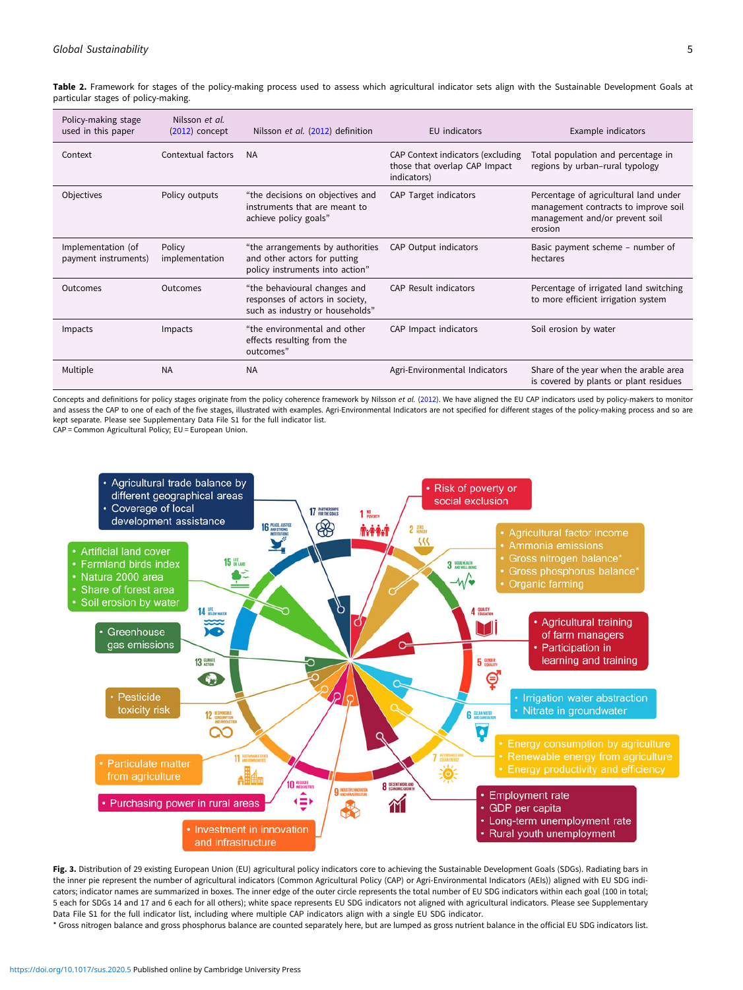<span id="page-4-0"></span>Table 2. Framework for stages of the policy-making process used to assess which agricultural indicator sets align with the Sustainable Development Goals at particular stages of policy-making.

| Policy-making stage<br>used in this paper  | Nilsson et al.<br>$(2012)$ concept | Nilsson et al. (2012) definition                                                                    | EU indicators                                                                     | Example indicators                                                                                                         |
|--------------------------------------------|------------------------------------|-----------------------------------------------------------------------------------------------------|-----------------------------------------------------------------------------------|----------------------------------------------------------------------------------------------------------------------------|
| Context                                    | Contextual factors                 | <b>NA</b>                                                                                           | CAP Context indicators (excluding<br>those that overlap CAP Impact<br>indicators) | Total population and percentage in<br>regions by urban-rural typology                                                      |
| Objectives                                 | Policy outputs                     | "the decisions on objectives and<br>instruments that are meant to<br>achieve policy goals"          | CAP Target indicators                                                             | Percentage of agricultural land under<br>management contracts to improve soil<br>management and/or prevent soil<br>erosion |
| Implementation (of<br>payment instruments) | Policy<br>implementation           | "the arrangements by authorities<br>and other actors for putting<br>policy instruments into action" | CAP Output indicators                                                             | Basic payment scheme – number of<br>hectares                                                                               |
| Outcomes                                   | Outcomes                           | "the behavioural changes and<br>responses of actors in society,<br>such as industry or households"  | CAP Result indicators                                                             | Percentage of irrigated land switching<br>to more efficient irrigation system                                              |
| Impacts                                    | Impacts                            | "the environmental and other<br>effects resulting from the<br>outcomes"                             | CAP Impact indicators                                                             | Soil erosion by water                                                                                                      |
| Multiple                                   | <b>NA</b>                          | <b>NA</b>                                                                                           | Agri-Environmental Indicators                                                     | Share of the year when the arable area<br>is covered by plants or plant residues                                           |

Concepts and definitions for policy stages originate from the policy coherence framework by Nilsson et al. [\(2012\)](#page-10-0). We have aligned the EU CAP indicators used by policy-makers to monitor and assess the CAP to one of each of the five stages, illustrated with examples. Agri-Environmental Indicators are not specified for different stages of the policy-making process and so are kept separate. Please see Supplementary Data File S1 for the full indicator list.

CAP = Common Agricultural Policy; EU = European Union.



Fig. 3. Distribution of 29 existing European Union (EU) agricultural policy indicators core to achieving the Sustainable Development Goals (SDGs). Radiating bars in the inner pie represent the number of agricultural indicators (Common Agricultural Policy (CAP) or Agri-Environmental Indicators (AEIs)) aligned with EU SDG indicators; indicator names are summarized in boxes. The inner edge of the outer circle represents the total number of EU SDG indicators within each goal (100 in total; 5 each for SDGs 14 and 17 and 6 each for all others); white space represents EU SDG indicators not aligned with agricultural indicators. Please see Supplementary Data File S1 for the full indicator list, including where multiple CAP indicators align with a single EU SDG indicator.

\* Gross nitrogen balance and gross phosphorus balance are counted separately here, but are lumped as gross nutrient balance in the official EU SDG indicators list.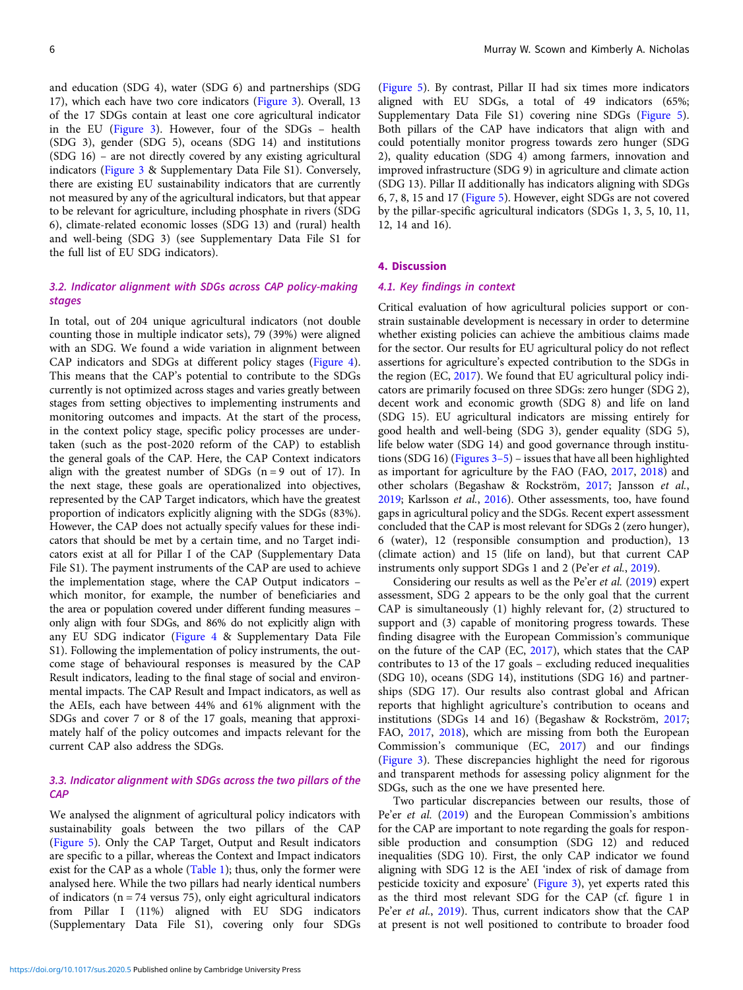and education (SDG 4), water (SDG 6) and partnerships (SDG 17), which each have two core indicators [\(Figure 3](#page-4-0)). Overall, 13 of the 17 SDGs contain at least one core agricultural indicator in the EU [\(Figure 3](#page-4-0)). However, four of the SDGs – health (SDG 3), gender (SDG 5), oceans (SDG 14) and institutions (SDG 16) – are not directly covered by any existing agricultural indicators ([Figure 3](#page-4-0) & Supplementary Data File S1). Conversely, there are existing EU sustainability indicators that are currently not measured by any of the agricultural indicators, but that appear to be relevant for agriculture, including phosphate in rivers (SDG 6), climate-related economic losses (SDG 13) and (rural) health and well-being (SDG 3) (see Supplementary Data File S1 for the full list of EU SDG indicators).

## 3.2. Indicator alignment with SDGs across CAP policy-making stages

In total, out of 204 unique agricultural indicators (not double counting those in multiple indicator sets), 79 (39%) were aligned with an SDG. We found a wide variation in alignment between CAP indicators and SDGs at different policy stages [\(Figure 4\)](#page-6-0). This means that the CAP's potential to contribute to the SDGs currently is not optimized across stages and varies greatly between stages from setting objectives to implementing instruments and monitoring outcomes and impacts. At the start of the process, in the context policy stage, specific policy processes are undertaken (such as the post-2020 reform of the CAP) to establish the general goals of the CAP. Here, the CAP Context indicators align with the greatest number of SDGs  $(n = 9)$  out of 17). In the next stage, these goals are operationalized into objectives, represented by the CAP Target indicators, which have the greatest proportion of indicators explicitly aligning with the SDGs (83%). However, the CAP does not actually specify values for these indicators that should be met by a certain time, and no Target indicators exist at all for Pillar I of the CAP (Supplementary Data File S1). The payment instruments of the CAP are used to achieve the implementation stage, where the CAP Output indicators – which monitor, for example, the number of beneficiaries and the area or population covered under different funding measures – only align with four SDGs, and 86% do not explicitly align with any EU SDG indicator ([Figure 4](#page-6-0) & Supplementary Data File S1). Following the implementation of policy instruments, the outcome stage of behavioural responses is measured by the CAP Result indicators, leading to the final stage of social and environmental impacts. The CAP Result and Impact indicators, as well as the AEIs, each have between 44% and 61% alignment with the SDGs and cover 7 or 8 of the 17 goals, meaning that approximately half of the policy outcomes and impacts relevant for the current CAP also address the SDGs.

## 3.3. Indicator alignment with SDGs across the two pillars of the **CAP**

We analysed the alignment of agricultural policy indicators with sustainability goals between the two pillars of the CAP ([Figure 5](#page-7-0)). Only the CAP Target, Output and Result indicators are specific to a pillar, whereas the Context and Impact indicators exist for the CAP as a whole [\(Table 1](#page-2-0)); thus, only the former were analysed here. While the two pillars had nearly identical numbers of indicators ( $n = 74$  versus 75), only eight agricultural indicators from Pillar I (11%) aligned with EU SDG indicators (Supplementary Data File S1), covering only four SDGs

([Figure 5](#page-7-0)). By contrast, Pillar II had six times more indicators aligned with EU SDGs, a total of 49 indicators (65%; Supplementary Data File S1) covering nine SDGs ([Figure 5](#page-7-0)). Both pillars of the CAP have indicators that align with and could potentially monitor progress towards zero hunger (SDG 2), quality education (SDG 4) among farmers, innovation and improved infrastructure (SDG 9) in agriculture and climate action (SDG 13). Pillar II additionally has indicators aligning with SDGs 6, 7, 8, 15 and 17 [\(Figure 5](#page-7-0)). However, eight SDGs are not covered by the pillar-specific agricultural indicators (SDGs 1, 3, 5, 10, 11, 12, 14 and 16).

#### 4. Discussion

## 4.1. Key findings in context

Critical evaluation of how agricultural policies support or constrain sustainable development is necessary in order to determine whether existing policies can achieve the ambitious claims made for the sector. Our results for EU agricultural policy do not reflect assertions for agriculture's expected contribution to the SDGs in the region (EC, [2017](#page-9-0)). We found that EU agricultural policy indicators are primarily focused on three SDGs: zero hunger (SDG 2), decent work and economic growth (SDG 8) and life on land (SDG 15). EU agricultural indicators are missing entirely for good health and well-being (SDG 3), gender equality (SDG 5), life below water (SDG 14) and good governance through institutions (SDG 16) (Figures  $3-5$ ) – issues that have all been highlighted as important for agriculture by the FAO (FAO, [2017](#page-9-0), [2018\)](#page-9-0) and other scholars (Begashaw & Rockström, [2017](#page-9-0); Jansson et al., [2019;](#page-9-0) Karlsson et al., [2016\)](#page-9-0). Other assessments, too, have found gaps in agricultural policy and the SDGs. Recent expert assessment concluded that the CAP is most relevant for SDGs 2 (zero hunger), 6 (water), 12 (responsible consumption and production), 13 (climate action) and 15 (life on land), but that current CAP instruments only support SDGs 1 and 2 (Pe'er et al., [2019\)](#page-10-0).

Considering our results as well as the Pe'er et al. [\(2019](#page-10-0)) expert assessment, SDG 2 appears to be the only goal that the current CAP is simultaneously (1) highly relevant for, (2) structured to support and (3) capable of monitoring progress towards. These finding disagree with the European Commission's communique on the future of the CAP (EC, [2017](#page-9-0)), which states that the CAP contributes to 13 of the 17 goals – excluding reduced inequalities (SDG 10), oceans (SDG 14), institutions (SDG 16) and partnerships (SDG 17). Our results also contrast global and African reports that highlight agriculture's contribution to oceans and institutions (SDGs 14 and 16) (Begashaw & Rockström, [2017;](#page-9-0) FAO, [2017,](#page-9-0) [2018](#page-9-0)), which are missing from both the European Commission's communique (EC, [2017\)](#page-9-0) and our findings ([Figure 3](#page-4-0)). These discrepancies highlight the need for rigorous and transparent methods for assessing policy alignment for the SDGs, such as the one we have presented here.

Two particular discrepancies between our results, those of Pe'er et al. [\(2019\)](#page-10-0) and the European Commission's ambitions for the CAP are important to note regarding the goals for responsible production and consumption (SDG 12) and reduced inequalities (SDG 10). First, the only CAP indicator we found aligning with SDG 12 is the AEI 'index of risk of damage from pesticide toxicity and exposure' [\(Figure 3\)](#page-4-0), yet experts rated this as the third most relevant SDG for the CAP (cf. figure 1 in Pe'er et al., [2019](#page-10-0)). Thus, current indicators show that the CAP at present is not well positioned to contribute to broader food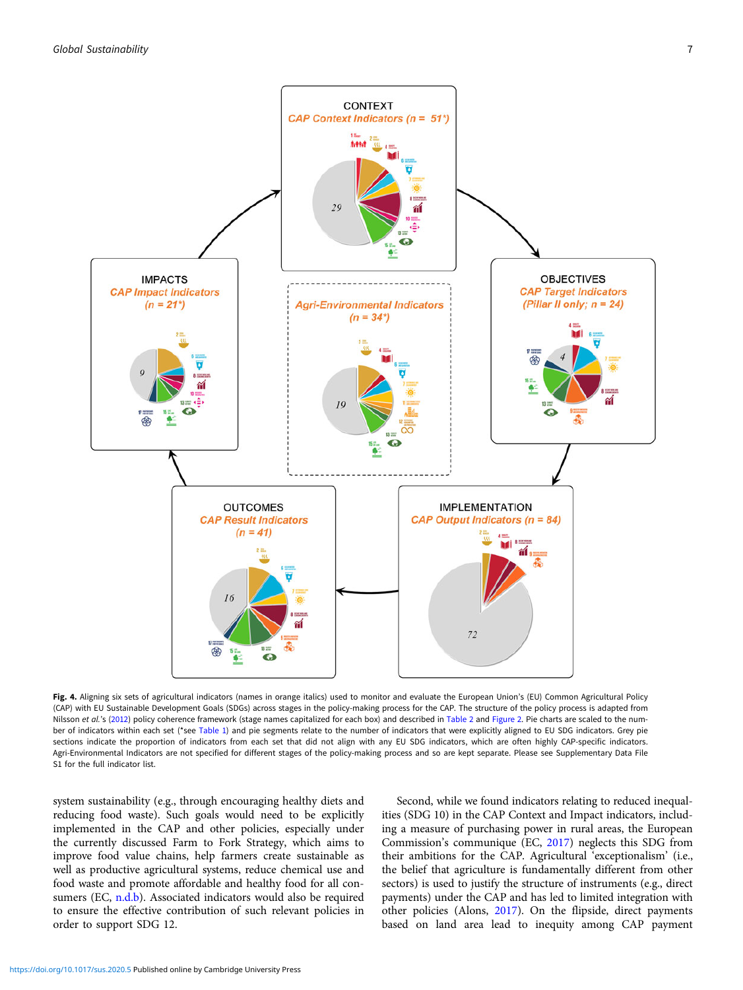<span id="page-6-0"></span>

Fig. 4. Aligning six sets of agricultural indicators (names in orange italics) used to monitor and evaluate the European Union's (EU) Common Agricultural Policy (CAP) with EU Sustainable Development Goals (SDGs) across stages in the policy-making process for the CAP. The structure of the policy process is adapted from Nilsson et al.'s [\(2012\)](#page-10-0) policy coherence framework (stage names capitalized for each box) and described in [Table 2](#page-4-0) and [Figure 2](#page-3-0). Pie charts are scaled to the num-ber of indicators within each set (\*see [Table 1](#page-2-0)) and pie segments relate to the number of indicators that were explicitly aligned to EU SDG indicators. Grey pie sections indicate the proportion of indicators from each set that did not align with any EU SDG indicators, which are often highly CAP-specific indicators. Agri-Environmental Indicators are not specified for different stages of the policy-making process and so are kept separate. Please see Supplementary Data File S1 for the full indicator list.

system sustainability (e.g., through encouraging healthy diets and reducing food waste). Such goals would need to be explicitly implemented in the CAP and other policies, especially under the currently discussed Farm to Fork Strategy, which aims to improve food value chains, help farmers create sustainable as well as productive agricultural systems, reduce chemical use and food waste and promote affordable and healthy food for all consumers (EC, [n.d.b\)](#page-9-0). Associated indicators would also be required to ensure the effective contribution of such relevant policies in order to support SDG 12.

Second, while we found indicators relating to reduced inequalities (SDG 10) in the CAP Context and Impact indicators, including a measure of purchasing power in rural areas, the European Commission's communique (EC, [2017\)](#page-9-0) neglects this SDG from their ambitions for the CAP. Agricultural 'exceptionalism' (i.e., the belief that agriculture is fundamentally different from other sectors) is used to justify the structure of instruments (e.g., direct payments) under the CAP and has led to limited integration with other policies (Alons, [2017\)](#page-9-0). On the flipside, direct payments based on land area lead to inequity among CAP payment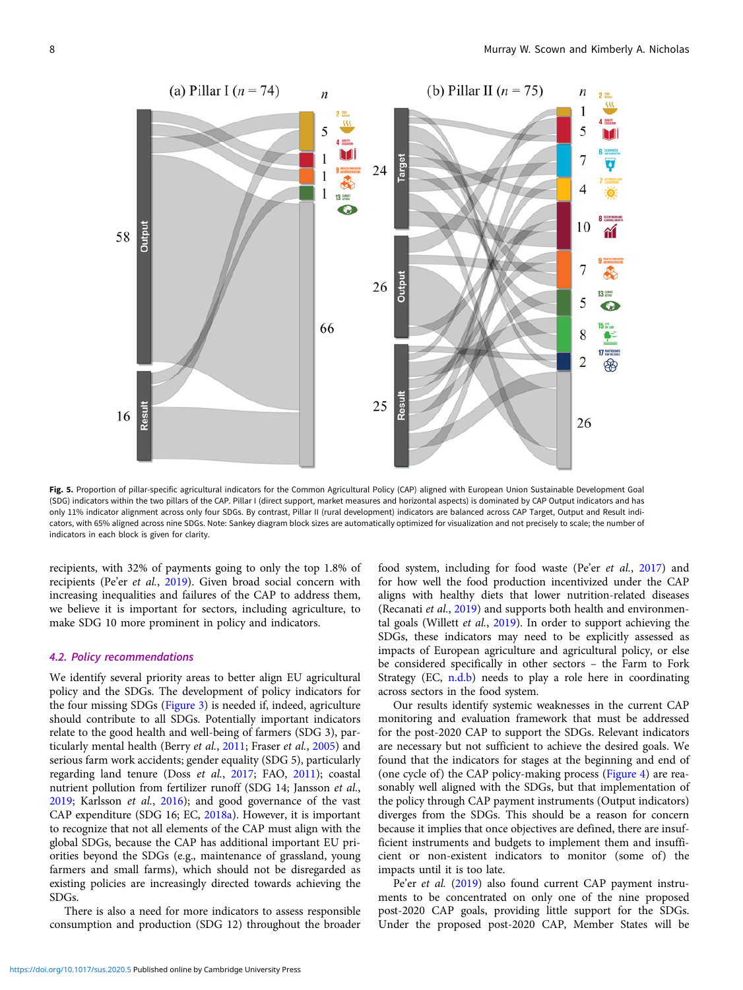<span id="page-7-0"></span>

Fig. 5. Proportion of pillar-specific agricultural indicators for the Common Agricultural Policy (CAP) aligned with European Union Sustainable Development Goal (SDG) indicators within the two pillars of the CAP. Pillar I (direct support, market measures and horizontal aspects) is dominated by CAP Output indicators and has only 11% indicator alignment across only four SDGs. By contrast, Pillar II (rural development) indicators are balanced across CAP Target, Output and Result indicators, with 65% aligned across nine SDGs. Note: Sankey diagram block sizes are automatically optimized for visualization and not precisely to scale; the number of indicators in each block is given for clarity.

recipients, with 32% of payments going to only the top 1.8% of recipients (Pe'er et al., [2019](#page-10-0)). Given broad social concern with increasing inequalities and failures of the CAP to address them, we believe it is important for sectors, including agriculture, to make SDG 10 more prominent in policy and indicators.

### 4.2. Policy recommendations

We identify several priority areas to better align EU agricultural policy and the SDGs. The development of policy indicators for the four missing SDGs [\(Figure 3\)](#page-4-0) is needed if, indeed, agriculture should contribute to all SDGs. Potentially important indicators relate to the good health and well-being of farmers (SDG 3), particularly mental health (Berry et al., [2011;](#page-9-0) Fraser et al., [2005\)](#page-9-0) and serious farm work accidents; gender equality (SDG 5), particularly regarding land tenure (Doss et al., [2017](#page-9-0); FAO, [2011](#page-9-0)); coastal nutrient pollution from fertilizer runoff (SDG 14; Jansson et al., [2019;](#page-9-0) Karlsson et al., [2016](#page-9-0)); and good governance of the vast CAP expenditure (SDG 16; EC, [2018a](#page-9-0)). However, it is important to recognize that not all elements of the CAP must align with the global SDGs, because the CAP has additional important EU priorities beyond the SDGs (e.g., maintenance of grassland, young farmers and small farms), which should not be disregarded as existing policies are increasingly directed towards achieving the SDGs.

There is also a need for more indicators to assess responsible consumption and production (SDG 12) throughout the broader

food system, including for food waste (Pe'er et al., [2017\)](#page-10-0) and for how well the food production incentivized under the CAP aligns with healthy diets that lower nutrition-related diseases (Recanati et al., [2019\)](#page-10-0) and supports both health and environmental goals (Willett et al., [2019\)](#page-10-0). In order to support achieving the SDGs, these indicators may need to be explicitly assessed as impacts of European agriculture and agricultural policy, or else be considered specifically in other sectors – the Farm to Fork Strategy (EC, [n.d.b](#page-9-0)) needs to play a role here in coordinating across sectors in the food system.

Our results identify systemic weaknesses in the current CAP monitoring and evaluation framework that must be addressed for the post-2020 CAP to support the SDGs. Relevant indicators are necessary but not sufficient to achieve the desired goals. We found that the indicators for stages at the beginning and end of (one cycle of) the CAP policy-making process [\(Figure 4\)](#page-6-0) are reasonably well aligned with the SDGs, but that implementation of the policy through CAP payment instruments (Output indicators) diverges from the SDGs. This should be a reason for concern because it implies that once objectives are defined, there are insufficient instruments and budgets to implement them and insufficient or non-existent indicators to monitor (some of) the impacts until it is too late.

Pe'er et al. [\(2019](#page-10-0)) also found current CAP payment instruments to be concentrated on only one of the nine proposed post-2020 CAP goals, providing little support for the SDGs. Under the proposed post-2020 CAP, Member States will be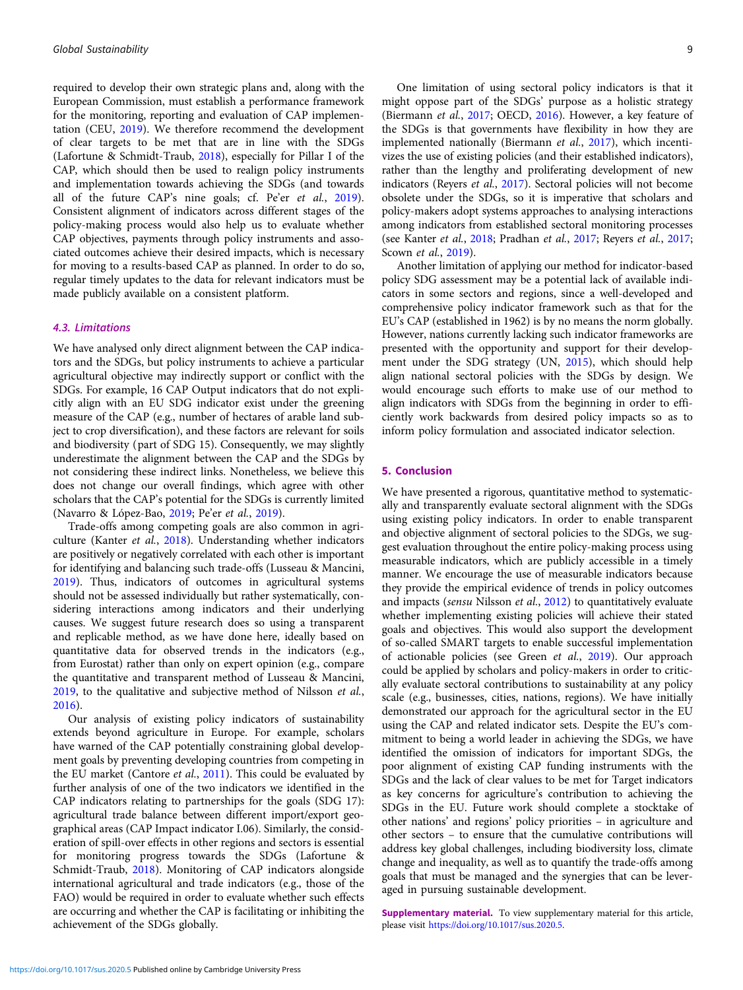required to develop their own strategic plans and, along with the European Commission, must establish a performance framework for the monitoring, reporting and evaluation of CAP implementation (CEU, [2019](#page-9-0)). We therefore recommend the development of clear targets to be met that are in line with the SDGs (Lafortune & Schmidt-Traub, [2018](#page-9-0)), especially for Pillar I of the CAP, which should then be used to realign policy instruments and implementation towards achieving the SDGs (and towards all of the future CAP's nine goals; cf. Pe'er et al., [2019\)](#page-10-0). Consistent alignment of indicators across different stages of the policy-making process would also help us to evaluate whether CAP objectives, payments through policy instruments and associated outcomes achieve their desired impacts, which is necessary for moving to a results-based CAP as planned. In order to do so, regular timely updates to the data for relevant indicators must be made publicly available on a consistent platform.

### 4.3. Limitations

We have analysed only direct alignment between the CAP indicators and the SDGs, but policy instruments to achieve a particular agricultural objective may indirectly support or conflict with the SDGs. For example, 16 CAP Output indicators that do not explicitly align with an EU SDG indicator exist under the greening measure of the CAP (e.g., number of hectares of arable land subject to crop diversification), and these factors are relevant for soils and biodiversity (part of SDG 15). Consequently, we may slightly underestimate the alignment between the CAP and the SDGs by not considering these indirect links. Nonetheless, we believe this does not change our overall findings, which agree with other scholars that the CAP's potential for the SDGs is currently limited (Navarro & López-Bao, [2019;](#page-9-0) Pe'er et al., [2019](#page-10-0)).

Trade-offs among competing goals are also common in agriculture (Kanter et al., [2018\)](#page-9-0). Understanding whether indicators are positively or negatively correlated with each other is important for identifying and balancing such trade-offs (Lusseau & Mancini, [2019\)](#page-9-0). Thus, indicators of outcomes in agricultural systems should not be assessed individually but rather systematically, considering interactions among indicators and their underlying causes. We suggest future research does so using a transparent and replicable method, as we have done here, ideally based on quantitative data for observed trends in the indicators (e.g., from Eurostat) rather than only on expert opinion (e.g., compare the quantitative and transparent method of Lusseau & Mancini, [2019,](#page-9-0) to the qualitative and subjective method of Nilsson et al., [2016\)](#page-10-0).

Our analysis of existing policy indicators of sustainability extends beyond agriculture in Europe. For example, scholars have warned of the CAP potentially constraining global development goals by preventing developing countries from competing in the EU market (Cantore et al., [2011\)](#page-9-0). This could be evaluated by further analysis of one of the two indicators we identified in the CAP indicators relating to partnerships for the goals (SDG 17): agricultural trade balance between different import/export geographical areas (CAP Impact indicator I.06). Similarly, the consideration of spill-over effects in other regions and sectors is essential for monitoring progress towards the SDGs (Lafortune & Schmidt-Traub, [2018](#page-9-0)). Monitoring of CAP indicators alongside international agricultural and trade indicators (e.g., those of the FAO) would be required in order to evaluate whether such effects are occurring and whether the CAP is facilitating or inhibiting the achievement of the SDGs globally.

One limitation of using sectoral policy indicators is that it might oppose part of the SDGs' purpose as a holistic strategy (Biermann et al., [2017](#page-9-0); OECD, [2016\)](#page-10-0). However, a key feature of the SDGs is that governments have flexibility in how they are implemented nationally (Biermann et al., [2017](#page-9-0)), which incentivizes the use of existing policies (and their established indicators), rather than the lengthy and proliferating development of new indicators (Reyers et al., [2017](#page-10-0)). Sectoral policies will not become obsolete under the SDGs, so it is imperative that scholars and policy-makers adopt systems approaches to analysing interactions among indicators from established sectoral monitoring processes (see Kanter et al., [2018](#page-9-0); Pradhan et al., [2017](#page-10-0); Reyers et al., [2017](#page-10-0); Scown et al., [2019](#page-10-0)).

Another limitation of applying our method for indicator-based policy SDG assessment may be a potential lack of available indicators in some sectors and regions, since a well-developed and comprehensive policy indicator framework such as that for the EU's CAP (established in 1962) is by no means the norm globally. However, nations currently lacking such indicator frameworks are presented with the opportunity and support for their development under the SDG strategy (UN, [2015\)](#page-10-0), which should help align national sectoral policies with the SDGs by design. We would encourage such efforts to make use of our method to align indicators with SDGs from the beginning in order to efficiently work backwards from desired policy impacts so as to inform policy formulation and associated indicator selection.

#### 5. Conclusion

We have presented a rigorous, quantitative method to systematically and transparently evaluate sectoral alignment with the SDGs using existing policy indicators. In order to enable transparent and objective alignment of sectoral policies to the SDGs, we suggest evaluation throughout the entire policy-making process using measurable indicators, which are publicly accessible in a timely manner. We encourage the use of measurable indicators because they provide the empirical evidence of trends in policy outcomes and impacts (sensu Nilsson et al., [2012\)](#page-10-0) to quantitatively evaluate whether implementing existing policies will achieve their stated goals and objectives. This would also support the development of so-called SMART targets to enable successful implementation of actionable policies (see Green et al., [2019\)](#page-9-0). Our approach could be applied by scholars and policy-makers in order to critically evaluate sectoral contributions to sustainability at any policy scale (e.g., businesses, cities, nations, regions). We have initially demonstrated our approach for the agricultural sector in the EU using the CAP and related indicator sets. Despite the EU's commitment to being a world leader in achieving the SDGs, we have identified the omission of indicators for important SDGs, the poor alignment of existing CAP funding instruments with the SDGs and the lack of clear values to be met for Target indicators as key concerns for agriculture's contribution to achieving the SDGs in the EU. Future work should complete a stocktake of other nations' and regions' policy priorities – in agriculture and other sectors – to ensure that the cumulative contributions will address key global challenges, including biodiversity loss, climate change and inequality, as well as to quantify the trade-offs among goals that must be managed and the synergies that can be leveraged in pursuing sustainable development.

Supplementary material. To view supplementary material for this article, please visit [https://doi.org/10.1017/sus.2020.5.](https://doi.org/10.1017/sus.2020.5)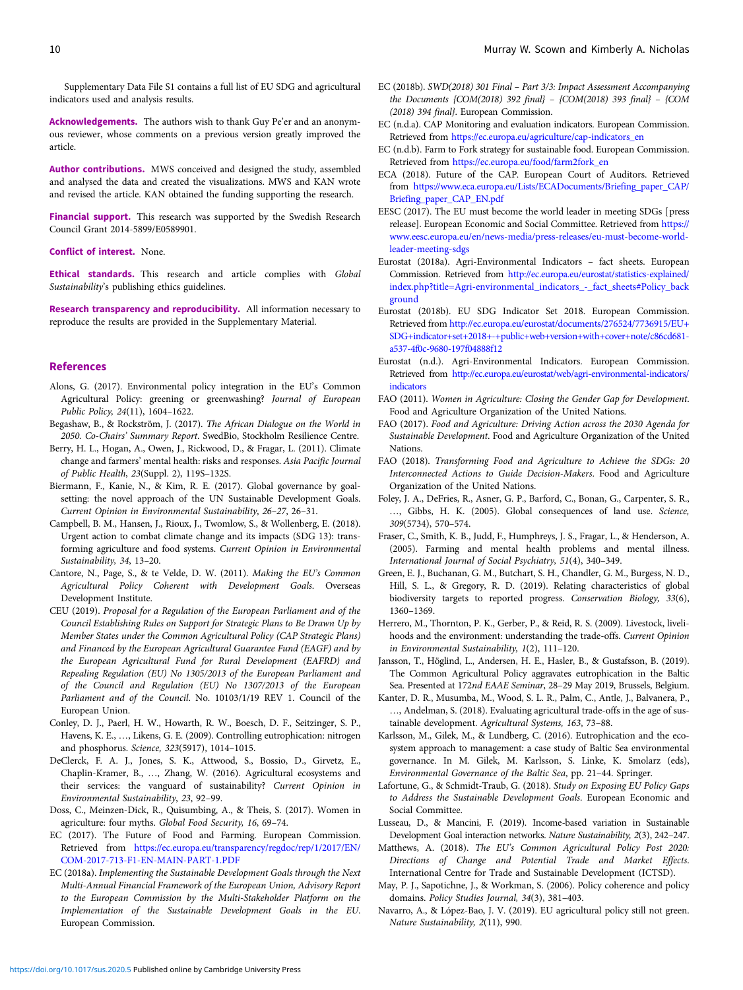<span id="page-9-0"></span>Supplementary Data File S1 contains a full list of EU SDG and agricultural indicators used and analysis results.

Acknowledgements. The authors wish to thank Guy Pe'er and an anonymous reviewer, whose comments on a previous version greatly improved the article.

Author contributions. MWS conceived and designed the study, assembled and analysed the data and created the visualizations. MWS and KAN wrote and revised the article. KAN obtained the funding supporting the research.

Financial support. This research was supported by the Swedish Research Council Grant 2014-5899/E0589901.

Conflict of interest. None.

Ethical standards. This research and article complies with Global Sustainability's publishing ethics guidelines.

Research transparency and reproducibility. All information necessary to reproduce the results are provided in the Supplementary Material.

#### References

- Alons, G. (2017). Environmental policy integration in the EU's Common Agricultural Policy: greening or greenwashing? Journal of European Public Policy, 24(11), 1604–1622.
- Begashaw, B., & Rockström, J. (2017). The African Dialogue on the World in 2050. Co-Chairs' Summary Report. SwedBio, Stockholm Resilience Centre.
- Berry, H. L., Hogan, A., Owen, J., Rickwood, D., & Fragar, L. (2011). Climate change and farmers' mental health: risks and responses. Asia Pacific Journal of Public Health, 23(Suppl. 2), 119S–132S.
- Biermann, F., Kanie, N., & Kim, R. E. (2017). Global governance by goalsetting: the novel approach of the UN Sustainable Development Goals. Current Opinion in Environmental Sustainability, 26–27, 26–31.
- Campbell, B. M., Hansen, J., Rioux, J., Twomlow, S., & Wollenberg, E. (2018). Urgent action to combat climate change and its impacts (SDG 13): transforming agriculture and food systems. Current Opinion in Environmental Sustainability, 34, 13–20.
- Cantore, N., Page, S., & te Velde, D. W. (2011). Making the EU's Common Agricultural Policy Coherent with Development Goals. Overseas Development Institute.
- CEU (2019). Proposal for a Regulation of the European Parliament and of the Council Establishing Rules on Support for Strategic Plans to Be Drawn Up by Member States under the Common Agricultural Policy (CAP Strategic Plans) and Financed by the European Agricultural Guarantee Fund (EAGF) and by the European Agricultural Fund for Rural Development (EAFRD) and Repealing Regulation (EU) No 1305/2013 of the European Parliament and of the Council and Regulation (EU) No 1307/2013 of the European Parliament and of the Council. No. 10103/1/19 REV 1. Council of the European Union.
- Conley, D. J., Paerl, H. W., Howarth, R. W., Boesch, D. F., Seitzinger, S. P., Havens, K. E., …, Likens, G. E. (2009). Controlling eutrophication: nitrogen and phosphorus. Science, 323(5917), 1014–1015.
- DeClerck, F. A. J., Jones, S. K., Attwood, S., Bossio, D., Girvetz, E., Chaplin-Kramer, B., …, Zhang, W. (2016). Agricultural ecosystems and their services: the vanguard of sustainability? Current Opinion in Environmental Sustainability, 23, 92–99.
- Doss, C., Meinzen-Dick, R., Quisumbing, A., & Theis, S. (2017). Women in agriculture: four myths. Global Food Security, 16, 69–74.
- EC (2017). The Future of Food and Farming. European Commission. Retrieved from [https://ec.europa.eu/transparency/regdoc/rep/1/2017/EN/](https://ec.europa.eu/transparency/regdoc/rep/1/2017/EN/COM-2017-713-F1-EN-MAIN-PART-1.PDF) [COM-2017-713-F1-EN-MAIN-PART-1.PDF](https://ec.europa.eu/transparency/regdoc/rep/1/2017/EN/COM-2017-713-F1-EN-MAIN-PART-1.PDF)
- EC (2018a). Implementing the Sustainable Development Goals through the Next Multi-Annual Financial Framework of the European Union, Advisory Report to the European Commission by the Multi-Stakeholder Platform on the Implementation of the Sustainable Development Goals in the EU. European Commission.
- EC (2018b). SWD(2018) 301 Final Part 3/3: Impact Assessment Accompanying the Documents {COM(2018) 392 final} – {COM(2018) 393 final} – {COM (2018) 394 final}. European Commission.
- EC (n.d.a). CAP Monitoring and evaluation indicators. European Commission. Retrieved from [https://ec.europa.eu/agriculture/cap-indicators\\_en](https://ec.europa.eu/agriculture/cap-indicators_en)
- EC (n.d.b). Farm to Fork strategy for sustainable food. European Commission. Retrieved from [https://ec.europa.eu/food/farm2fork\\_en](https://ec.europa.eu/food/farm2fork_en)
- ECA (2018). Future of the CAP. European Court of Auditors. Retrieved from [https://www.eca.europa.eu/Lists/ECADocuments/Briefing\\_paper\\_CAP/](https://www.eca.europa.eu/Lists/ECADocuments/Briefing_paper_CAP/Briefing_paper_CAP_EN.pdf) [Briefing\\_paper\\_CAP\\_EN.pdf](https://www.eca.europa.eu/Lists/ECADocuments/Briefing_paper_CAP/Briefing_paper_CAP_EN.pdf)
- EESC (2017). The EU must become the world leader in meeting SDGs [press release]. European Economic and Social Committee. Retrieved from [https://](https://www.eesc.europa.eu/en/news-media/press-releases/eu-must-become-world-leader-meeting-sdgs) [www.eesc.europa.eu/en/news-media/press-releases/eu-must-become-world](https://www.eesc.europa.eu/en/news-media/press-releases/eu-must-become-world-leader-meeting-sdgs)[leader-meeting-sdgs](https://www.eesc.europa.eu/en/news-media/press-releases/eu-must-become-world-leader-meeting-sdgs)
- Eurostat (2018a). Agri-Environmental Indicators fact sheets. European Commission. Retrieved from [http://ec.europa.eu/eurostat/statistics-explained/](http://ec.europa.eu/eurostat/statistics-explained/index.php?title=Agri-environmental_indicators_-_fact_sheets#Policy_background) [index.php?title=Agri-environmental\\_indicators\\_-\\_fact\\_sheets#Policy\\_back](http://ec.europa.eu/eurostat/statistics-explained/index.php?title=Agri-environmental_indicators_-_fact_sheets#Policy_background) [ground](http://ec.europa.eu/eurostat/statistics-explained/index.php?title=Agri-environmental_indicators_-_fact_sheets#Policy_background)
- Eurostat (2018b). EU SDG Indicator Set 2018. European Commission. Retrieved from [http://ec.europa.eu/eurostat/documents/276524/7736915/EU+](http://ec.europa.eu/eurostat/documents/276524/7736915/EU+SDG+indicator+set+2018+-+public+web+version+with+cover+note/c86cd681-a537-4f0c-9680-197f04888f12) [SDG+indicator+set+2018+-+public+web+version+with+cover+note/c86cd681](http://ec.europa.eu/eurostat/documents/276524/7736915/EU+SDG+indicator+set+2018+-+public+web+version+with+cover+note/c86cd681-a537-4f0c-9680-197f04888f12) [a537-4f0c-9680-197f04888f12](http://ec.europa.eu/eurostat/documents/276524/7736915/EU+SDG+indicator+set+2018+-+public+web+version+with+cover+note/c86cd681-a537-4f0c-9680-197f04888f12)
- Eurostat (n.d.). Agri-Environmental Indicators. European Commission. Retrieved from [http://ec.europa.eu/eurostat/web/agri-environmental-indicators/](http://ec.europa.eu/eurostat/web/agri-environmental-indicators/indicators) [indicators](http://ec.europa.eu/eurostat/web/agri-environmental-indicators/indicators)
- FAO (2011). Women in Agriculture: Closing the Gender Gap for Development. Food and Agriculture Organization of the United Nations.
- FAO (2017). Food and Agriculture: Driving Action across the 2030 Agenda for Sustainable Development. Food and Agriculture Organization of the United Nations.
- FAO (2018). Transforming Food and Agriculture to Achieve the SDGs: 20 Interconnected Actions to Guide Decision-Makers. Food and Agriculture Organization of the United Nations.
- Foley, J. A., DeFries, R., Asner, G. P., Barford, C., Bonan, G., Carpenter, S. R., …, Gibbs, H. K. (2005). Global consequences of land use. Science, 309(5734), 570–574.
- Fraser, C., Smith, K. B., Judd, F., Humphreys, J. S., Fragar, L., & Henderson, A. (2005). Farming and mental health problems and mental illness. International Journal of Social Psychiatry, 51(4), 340–349.
- Green, E. J., Buchanan, G. M., Butchart, S. H., Chandler, G. M., Burgess, N. D., Hill, S. L., & Gregory, R. D. (2019). Relating characteristics of global biodiversity targets to reported progress. Conservation Biology, 33(6), 1360–1369.
- Herrero, M., Thornton, P. K., Gerber, P., & Reid, R. S. (2009). Livestock, livelihoods and the environment: understanding the trade-offs. Current Opinion in Environmental Sustainability, 1(2), 111–120.
- Jansson, T., Höglind, L., Andersen, H. E., Hasler, B., & Gustafsson, B. (2019). The Common Agricultural Policy aggravates eutrophication in the Baltic Sea. Presented at 172nd EAAE Seminar, 28–29 May 2019, Brussels, Belgium.
- Kanter, D. R., Musumba, M., Wood, S. L. R., Palm, C., Antle, J., Balvanera, P., …, Andelman, S. (2018). Evaluating agricultural trade-offs in the age of sustainable development. Agricultural Systems, 163, 73–88.
- Karlsson, M., Gilek, M., & Lundberg, C. (2016). Eutrophication and the ecosystem approach to management: a case study of Baltic Sea environmental governance. In M. Gilek, M. Karlsson, S. Linke, K. Smolarz (eds), Environmental Governance of the Baltic Sea, pp. 21–44. Springer.
- Lafortune, G., & Schmidt-Traub, G. (2018). Study on Exposing EU Policy Gaps to Address the Sustainable Development Goals. European Economic and Social Committee.
- Lusseau, D., & Mancini, F. (2019). Income-based variation in Sustainable Development Goal interaction networks. Nature Sustainability, 2(3), 242–247.
- Matthews, A. (2018). The EU's Common Agricultural Policy Post 2020: Directions of Change and Potential Trade and Market Effects. International Centre for Trade and Sustainable Development (ICTSD).
- May, P. J., Sapotichne, J., & Workman, S. (2006). Policy coherence and policy domains. Policy Studies Journal, 34(3), 381–403.
- Navarro, A., & López-Bao, J. V. (2019). EU agricultural policy still not green. Nature Sustainability, 2(11), 990.